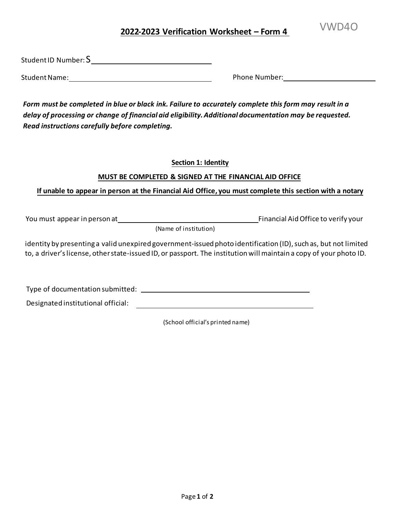VWD4O **<sup>202</sup>2-2023 Verification Worksheet – Form <sup>4</sup>**

Student ID Number:  $\mathsf{S}\rule{0.1mm}{0.3mm}$ 

Student Name: Name: Phone Number: Phone Number: Phone Number: Phone Number: Phone Number: Phone Number: Phone Number: Phone Number: Phone Number: Phone Number: Phone Number: Phone Number: Phone Number: Phone Number: Phone

 *Form must be completed in blue or black ink. Failure to accurately complete this form may result in a delay of processing or change of financial aid eligibility. Additional documentation may be requested. Read instructions carefully before completing.* 

**Section 1: Identity** 

# **MUST BE COMPLETED & SIGNED AT THE FINANCIAL AID OFFICE**

ֺ֝֡ **If unable to appear in person at the Financial Aid Office, you must complete this section with a notary** 

You must appear in person at Financial Aid Office to verify your

(Name of institution)

 identity by presenting a valid unexpired government-issued photo identification (ID), such as, but not limited to, a driver's license, other state-issued ID, or passport. The institution will maintain a copy of your photo ID.

Type of documentation submitted:

Designated institutional official:

(School official's printed name)